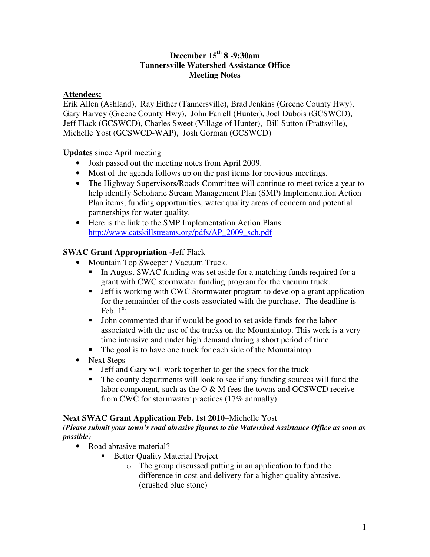# **December 15 th 8 -9:30am Tannersville Watershed Assistance Office Meeting Notes**

# **Attendees:**

Erik Allen (Ashland), Ray Either (Tannersville), Brad Jenkins (Greene County Hwy), Gary Harvey (Greene County Hwy), John Farrell (Hunter), Joel Dubois (GCSWCD), Jeff Flack (GCSWCD), Charles Sweet (Village of Hunter), Bill Sutton (Prattsville), Michelle Yost (GCSWCD-WAP), Josh Gorman (GCSWCD)

**Updates** since April meeting

- Josh passed out the meeting notes from April 2009.
- Most of the agenda follows up on the past items for previous meetings.
- The Highway Supervisors/Roads Committee will continue to meet twice a year to help identify Schoharie Stream Management Plan (SMP) Implementation Action Plan items, funding opportunities, water quality areas of concern and potential partnerships for water quality.
- Here is the link to the SMP Implementation Action Plans http://www.catskillstreams.org/pdfs/AP\_2009\_sch.pdf

# **SWAC Grant Appropriation -**Jeff Flack

- Mountain Top Sweeper / Vacuum Truck.
	- In August SWAC funding was set aside for a matching funds required for a grant with CWC stormwater funding program for the vacuum truck.
	- **F** Jeff is working with CWC Stormwater program to develop a grant application for the remainder of the costs associated with the purchase. The deadline is Feb.  $1<sup>st</sup>$ .
	- John commented that if would be good to set aside funds for the labor associated with the use of the trucks on the Mountaintop. This work is a very time intensive and under high demand during a short period of time.
	- The goal is to have one truck for each side of the Mountaintop.
- Next Steps
	- Jeff and Gary will work together to get the specs for the truck
	- The county departments will look to see if any funding sources will fund the labor component, such as the O & M fees the towns and GCSWCD receive from CWC for stormwater practices (17% annually).

### **Next SWAC Grant Application Feb. 1st 2010**–Michelle Yost

*(Please submit your town's road abrasive figures to the Watershed Assistance Office as soon as possible)*

- Road abrasive material?
	- Better Quality Material Project
		- o The group discussed putting in an application to fund the difference in cost and delivery for a higher quality abrasive. (crushed blue stone)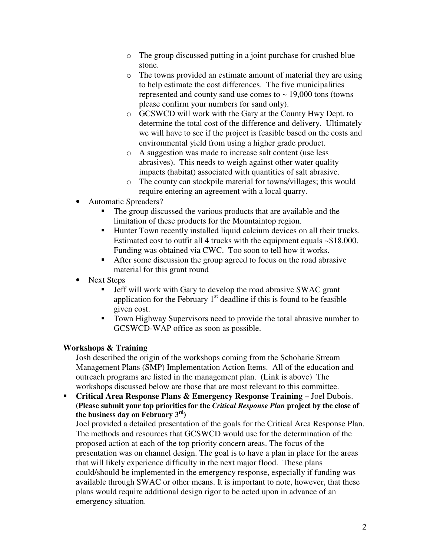- o The group discussed putting in a joint purchase for crushed blue stone.
- o The towns provided an estimate amount of material they are using to help estimate the cost differences. The five municipalities represented and county sand use comes to  $\sim$  19,000 tons (towns) please confirm your numbers for sand only).
- o GCSWCD will work with the Gary at the County Hwy Dept. to determine the total cost of the difference and delivery. Ultimately we will have to see if the project is feasible based on the costs and environmental yield from using a higher grade product.
- o A suggestion was made to increase salt content (use less abrasives). This needs to weigh against other water quality impacts (habitat) associated with quantities of salt abrasive.
- o The county can stockpile material for towns/villages; this would require entering an agreement with a local quarry.
- Automatic Spreaders?
	- The group discussed the various products that are available and the limitation of these products for the Mountaintop region.
	- Hunter Town recently installed liquid calcium devices on all their trucks. Estimated cost to outfit all 4 trucks with the equipment equals ~\$18,000. Funding was obtained via CWC. Too soon to tell how it works.
	- After some discussion the group agreed to focus on the road abrasive material for this grant round
- Next Steps
	- Jeff will work with Gary to develop the road abrasive SWAC grant application for the February  $1<sup>st</sup>$  deadline if this is found to be feasible given cost.
	- Town Highway Supervisors need to provide the total abrasive number to GCSWCD-WAP office as soon as possible.

### **Workshops & Training**

Josh described the origin of the workshops coming from the Schoharie Stream Management Plans (SMP) Implementation Action Items. All of the education and outreach programs are listed in the management plan. (Link is above) The workshops discussed below are those that are most relevant to this committee.

 **Critical Area Response Plans & Emergency Response Training –** Joel Dubois. **(Please submit your top priorities for the** *Critical Response Plan* **project by the close of the business day on February 3 rd )**

Joel provided a detailed presentation of the goals for the Critical Area Response Plan. The methods and resources that GCSWCD would use for the determination of the proposed action at each of the top priority concern areas. The focus of the presentation was on channel design. The goal is to have a plan in place for the areas that will likely experience difficulty in the next major flood. These plans could/should be implemented in the emergency response, especially if funding was available through SWAC or other means. It is important to note, however, that these plans would require additional design rigor to be acted upon in advance of an emergency situation.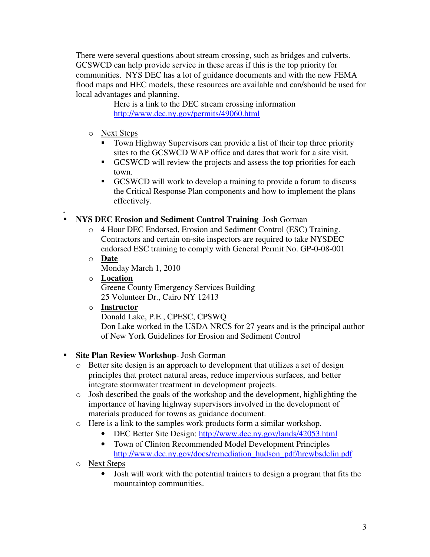There were several questions about stream crossing, such as bridges and culverts. GCSWCD can help provide service in these areas if this is the top priority for communities. NYS DEC has a lot of guidance documents and with the new FEMA flood maps and HEC models, these resources are available and can/should be used for local advantages and planning.

Here is a link to the DEC stream crossing information http://www.dec.ny.gov/permits/49060.html

- o Next Steps
	- Town Highway Supervisors can provide a list of their top three priority sites to the GCSWCD WAP office and dates that work for a site visit.
	- GCSWCD will review the projects and assess the top priorities for each town.
	- GCSWCD will work to develop a training to provide a forum to discuss the Critical Response Plan components and how to implement the plans effectively.

#### **. NYS DEC Erosion and Sediment Control Training** Josh Gorman

- o 4 Hour DEC Endorsed, Erosion and Sediment Control (ESC) Training. Contractors and certain on-site inspectors are required to take NYSDEC endorsed ESC training to comply with General Permit No. GP-0-08-001
- o **Date** Monday March 1, 2010
- o **Location** Greene County Emergency Services Building 25 Volunteer Dr., Cairo NY 12413
- o **Instructor**

Donald Lake, P.E., CPESC, CPSWQ

Don Lake worked in the USDA NRCS for 27 years and is the principal author of New York Guidelines for Erosion and Sediment Control

# **Site Plan Review Workshop**- Josh Gorman

- o Better site design is an approach to development that utilizes a set of design principles that protect natural areas, reduce impervious surfaces, and better integrate stormwater treatment in development projects.
- o Josh described the goals of the workshop and the development, highlighting the importance of having highway supervisors involved in the development of materials produced for towns as guidance document.
- o Here is a link to the samples work products form a similar workshop.
	- DEC Better Site Design: http://www.dec.ny.gov/lands/42053.html
	- Town of Clinton Recommended Model Development Principles http://www.dec.ny.gov/docs/remediation\_hudson\_pdf/hrewbsdclin.pdf
- o Next Steps
	- Josh will work with the potential trainers to design a program that fits the mountaintop communities.